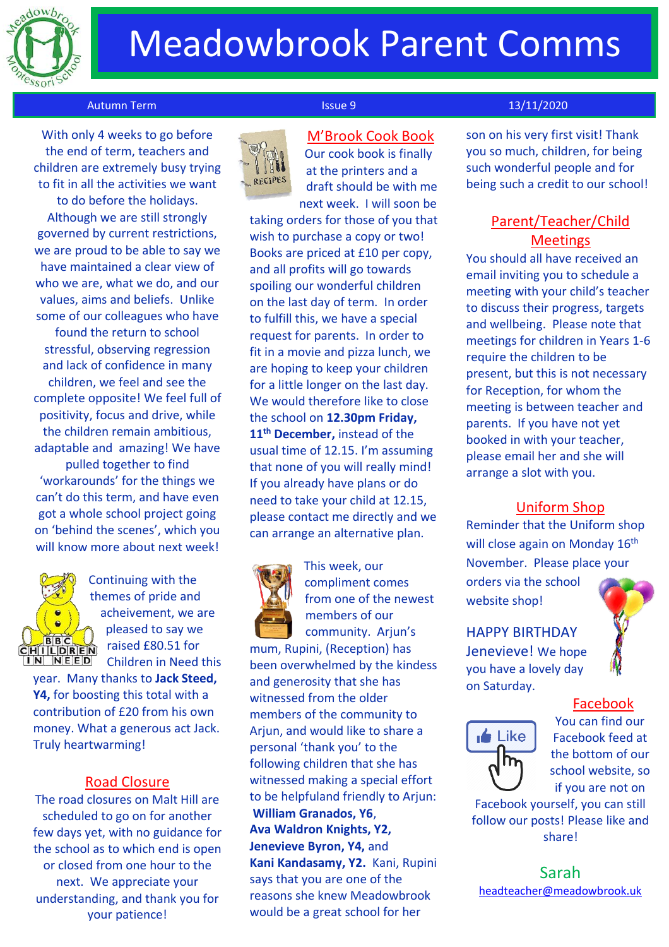

## Meadowbrook Parent Comms

#### Autumn Term 13/11/2020

 With only 4 weeks to go before the end of term, teachers and children are extremely busy trying to fit in all the activities we want to do before the holidays. Although we are still strongly governed by current restrictions, we are proud to be able to say we have maintained a clear view of who we are, what we do, and our values, aims and beliefs. Unlike some of our colleagues who have found the return to school stressful, observing regression and lack of confidence in many children, we feel and see the complete opposite! We feel full of positivity, focus and drive, while the children remain ambitious, adaptable and amazing! We have pulled together to find 'workarounds' for the things we can't do this term, and have even got a whole school project going on 'behind the scenes', which you will know more about next week!



Continuing with the themes of pride and acheivement, we are pleased to say we raised £80.51 for Children in Need this

year. Many thanks to **Jack Steed, Y4,** for boosting this total with a contribution of £20 from his own money. What a generous act Jack. Truly heartwarming!

#### Road Closure

The road closures on Malt Hill are scheduled to go on for another few days yet, with no guidance for the school as to which end is open or closed from one hour to the next. We appreciate your understanding, and thank you for your patience!



M'Brook Cook Book Our cook book is finally at the printers and a draft should be with me next week. I will soon be

taking orders for those of you that wish to purchase a copy or two! Books are priced at £10 per copy, and all profits will go towards spoiling our wonderful children on the last day of term. In order to fulfill this, we have a special request for parents. In order to fit in a movie and pizza lunch, we are hoping to keep your children for a little longer on the last day. We would therefore like to close the school on **12.30pm Friday, 11th December,** instead of the usual time of 12.15. I'm assuming that none of you will really mind! If you already have plans or do need to take your child at 12.15, please contact me directly and we can arrange an alternative plan.



This week, our compliment comes from one of the newest members of our community. Arjun's

mum, Rupini, (Reception) has been overwhelmed by the kindess and generosity that she has witnessed from the older members of the community to Arjun, and would like to share a personal 'thank you' to the following children that she has witnessed making a special effort to be helpfuland friendly to Arjun: **William Granados, Y6**, **Ava Waldron Knights, Y2, Jenevieve Byron, Y4,** and **Kani Kandasamy, Y2.** Kani, Rupini says that you are one of the reasons she knew Meadowbrook would be a great school for her

son on his very first visit! Thank you so much, children, for being such wonderful people and for being such a credit to our school!

### Parent/Teacher/Child **Meetings**

You should all have received an email inviting you to schedule a meeting with your child's teacher to discuss their progress, targets and wellbeing. Please note that meetings for children in Years 1-6 require the children to be present, but this is not necessary for Reception, for whom the meeting is between teacher and parents. If you have not yet booked in with your teacher, please email her and she will arrange a slot with you.

#### Uniform Shop

Reminder that the Uniform shop will close again on Monday 16<sup>th</sup> November. Please place your

orders via the school website shop!

### HAPPY BIRTHDAY

Jenevieve! We hope you have a lovely day on Saturday.

## Facebook



You can find our Facebook feed at the bottom of our school website, so if you are not on

Facebook yourself, you can still follow our posts! Please like and share!

Sarah [headteacher@meadowbrook.uk](mailto:headteacher@meadowbrook.uk)